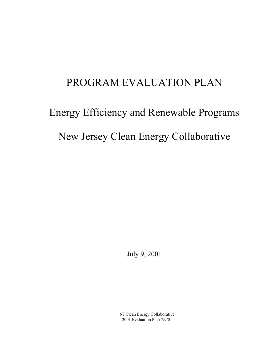# PROGRAM EVALUATION PLAN

# Energy Efficiency and Renewable Programs New Jersey Clean Energy Collaborative

July 9, 2001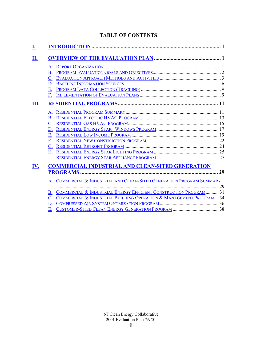#### **TABLE OF CONTENTS**

| A. |                                                                       |
|----|-----------------------------------------------------------------------|
| В. |                                                                       |
|    |                                                                       |
| D. |                                                                       |
| Е. |                                                                       |
| F. |                                                                       |
|    |                                                                       |
| A. |                                                                       |
|    |                                                                       |
|    |                                                                       |
| D. |                                                                       |
| Е. |                                                                       |
| F. |                                                                       |
| G. |                                                                       |
| Н. |                                                                       |
|    |                                                                       |
|    | <b>COMMERCIAL INDUSTRIAL AND CLEAN-SITED GENERATION</b>               |
|    |                                                                       |
|    | A. COMMERCIAL & INDUSTRIAL AND CLEAN-SITED GENERATION PROGRAM SUMMARY |
| В. | COMMERCIAL & INDUSTRIAL ENERGY EFFICIENT CONSTRUCTION PROGRAM 31      |
|    | COMMERCIAL & INDUSTRIAL BUILDING OPERATION & MANAGEMENT PROGRAM  34   |
|    |                                                                       |
|    |                                                                       |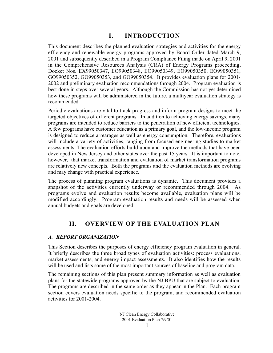# **I. INTRODUCTION**

<span id="page-2-0"></span>This document describes the planned evaluation strategies and activities for the energy efficiency and renewable energy programs approved by Board Order dated March 9, 2001 and subsequently described in a Program Compliance Filing made on April 9, 2001 in the Comprehensive Resources Analysis (CRA) of Energy Programs proceeding, Docket Nos. EX99050347, EO99050348, EO99050349, EO99050350, EO99050351, GO99050352, GO99050353, and GO99050354. It provides evaluation plans for 2001- 2002 and preliminary evaluation recommendations through 2004. Program evaluation is best done in steps over several years. Although the Commission has not yet determined how these programs will be administered in the future, a multiyear evaluation strategy is recommended.

Periodic evaluations are vital to track progress and inform program designs to meet the targeted objectives of different programs. In addition to achieving energy savings, many programs are intended to reduce barriers to the penetration of new efficient technologies. A few programs have customer education as a primary goal, and the low-income program is designed to reduce arrearages as well as energy consumption. Therefore, evaluations will include a variety of activities, ranging from focused engineering studies to market assessments. The evaluation efforts build upon and improve the methods that have been developed in New Jersey and other states over the past 15 years. It is important to note, however, that market transformation and evaluation of market transformation programs are relatively new concepts. Both the programs and the evaluation methods are evolving and may change with practical experience.

The process of planning program evaluations is dynamic. This document provides a snapshot of the activities currently underway or recommended through 2004. As programs evolve and evaluation results become available, evaluation plans will be modified accordingly. Program evaluation results and needs will be assessed when annual budgets and goals are developed.

# **II. OVERVIEW OF THE EVALUATION PLAN**

#### *A. REPORT ORGANIZATION*

This Section describes the purposes of energy efficiency program evaluation in general. It briefly describes the three broad types of evaluation activities: process evaluations, market assessments, and energy impact assessments. It also identifies how the results will be used and lists some of the most important sources of baseline and program data.

The remaining sections of this plan present summary information as well as evaluation plans for the statewide programs approved by the NJ BPU that are subject to evaluation. The programs are described in the same order as they appear in the Plan. Each program section covers evaluation needs specific to the program, and recommended evaluation activities for 2001-2004.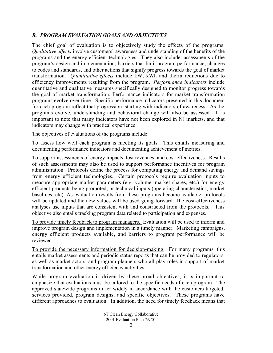#### <span id="page-3-0"></span>*B. PROGRAM EVALUATION GOALS AND OBJECTIVES*

The chief goal of evaluation is to objectively study the effects of the programs. *Qualitative effects* involve customers' awareness and understanding of the benefits of the programs and the energy efficient technologies. They also include: assessments of the program's design and implementation; barriers that limit program performance; changes to codes and standards, and other actions that signify progress towards the goal of market transformation. *Quantitative effects* include kW, kWh and therm reductions due to efficiency improvements resulting from the program. *Performance indicators* include quantitative and qualitative measures specifically designed to monitor progress towards the goal of market transformation. Performance indicators for market transformation programs evolve over time. Specific performance indicators presented in this document for each program reflect that progression, starting with indicators of awareness. As the programs evolve, understanding and behavioral change will also be assessed. It is important to note that many indicators have not been explored in NJ markets, and that indicators may change with practical experience.

The objectives of evaluations of the programs include:

To assess how well each program is meeting its goals. This entails measuring and documenting performance indicators and documenting achievement of metrics.

To support assessments of energy impacts, lost revenues, and cost-effectiveness. Results of such assessments may also be used to support performance incentives for program administration. Protocols define the process for computing energy and demand savings from energy efficient technologies. Certain protocols require evaluation inputs to measure appropriate market parameters (e.g. volume, market shares, etc.) for energy efficient products being promoted, or technical inputs (operating characteristics, market baselines, etc). As evaluation results from these programs become available, protocols will be updated and the new values will be used going forward. The cost-effectiveness analyses use inputs that are consistent with and constructed from the protocols. This objective also entails tracking program data related to participation and expenses.

To provide timely feedback to program managers. Evaluation will be used to inform and improve program design and implementation in a timely manner. Marketing campaigns, energy efficient products available, and barriers to program performance will be reviewed.

To provide the necessary information for decision-making. For many programs, this entails market assessments and periodic status reports that can be provided to regulators, as well as market actors, and program planners who all play roles in support of market transformation and other energy efficiency activities.

While program evaluation is driven by these broad objectives, it is important to emphasize that evaluations must be tailored to the specific needs of each program. The approved statewide programs differ widely in accordance with the customers targeted, services provided, program designs, and specific objectives. These programs have different approaches to evaluation. In addition, the need for timely feedback means that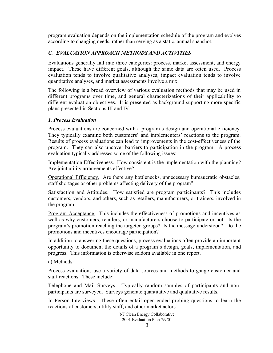<span id="page-4-0"></span>program evaluation depends on the implementation schedule of the program and evolves according to changing needs, rather than serving as a static, annual snapshot.

#### *C. EVALUATION APPROACH METHODS AND ACTIVITIES*

Evaluations generally fall into three categories: process, market assessment, and energy impact. These have different goals, although the same data are often used. Process evaluation tends to involve qualitative analyses; impact evaluation tends to involve quantitative analyses, and market assessments involve a mix.

The following is a broad overview of various evaluation methods that may be used in different programs over time, and general characterizations of their applicability to different evaluation objectives. It is presented as background supporting more specific plans presented in Sections III and IV.

#### *1. Process Evaluation*

Process evaluations are concerned with a program's design and operational efficiency. They typically examine both customers' and implementers' reactions to the program. Results of process evaluations can lead to improvements in the cost-effectiveness of the program. They can also uncover barriers to participation in the program. A process evaluation typically addresses some of the following issues:

Implementation Effectiveness. How consistent is the implementation with the planning? Are joint utility arrangements effective?

Operational Efficiency. Are there any bottlenecks, unnecessary bureaucratic obstacles, staff shortages or other problems affecting delivery of the program?

Satisfaction and Attitudes. How satisfied are program participants? This includes customers, vendors, and others, such as retailers, manufacturers, or trainers, involved in the program.

Program Acceptance. This includes the effectiveness of promotions and incentives as well as why customers, retailers, or manufacturers choose to participate or not. Is the program's promotion reaching the targeted groups? Is the message understood? Do the promotions and incentives encourage participation?

In addition to answering these questions, process evaluations often provide an important opportunity to document the details of a program's design, goals, implementation, and progress. This information is otherwise seldom available in one report.

a) Methods:

Process evaluations use a variety of data sources and methods to gauge customer and staff reactions. These include:

Telephone and Mail Surveys. Typically random samples of participants and nonparticipants are surveyed. Surveys generate quantitative and qualitative results.

In-Person Interviews. These often entail open-ended probing questions to learn the reactions of customers, utility staff, and other market actors.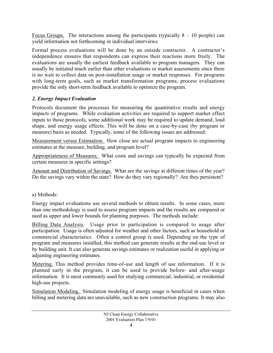Focus Groups. The interactions among the participants (typically  $8 - 10$  people) can yield information not forthcoming in individual interviews.

Formal process evaluations will be done by an outside contractor. A contractor's independence ensures that respondents can express their reactions more freely. The evaluations are usually the earliest feedback available to program managers. They can usually be initiated much earlier than other evaluations or market assessments since there is no wait to collect data on post-installation usage or market responses. For programs with long-term goals, such as market transformation programs, process evaluations provide the only short-term feedback available to optimize the program.

#### *2. Energy Impact Evaluation*

Protocols document the processes for measuring the quantitative results and energy impacts of programs. While evaluation activities are required to support market effect inputs to those protocols, some additional work may be required to update demand, load shape, and energy usage effects. This will be done on a case-by-case (by program or measure) basis as needed. Typically, some of the following issues are addressed:

Measurement versus Estimation. How close are actual program impacts to engineering estimates at the measure, building, and program level?

Appropriateness of Measures. What costs and savings can typically be expected from certain measures in specific settings?

Amount and Distribution of Savings. What are the savings at different times of the year? Do the savings vary within the state? How do they vary regionally? Are they persistent?

a) Methods:

Energy impact evaluations use several methods to obtain results. In some cases, more than one methodology is used to assess program impacts and the results are compared or used as upper and lower bounds for planning purposes. The methods include:

Billing Data Analysis. Usage prior to participation is compared to usage after participation. Usage is often adjusted for weather and other factors, such as household or commercial characteristics. Often a control group is used. Depending on the type of program and measures installed, this method can generate results at the end-use level or by building unit. It can also generate savings estimates or realization useful in applying or adjusting engineering estimates.

Metering. This method provides time-of-use and length of use information. If it is planned early in the program, it can be used to provide before- and after-usage information. It is most commonly used for studying commercial, industrial, or residential high-use projects.

Simulation Modeling. Simulation modeling of energy usage is beneficial in cases when billing and metering data are unavailable, such as new construction programs. It may also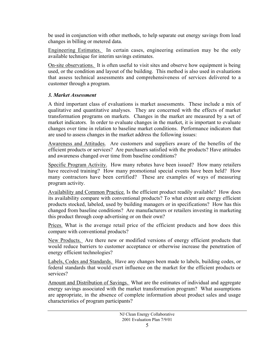be used in conjunction with other methods, to help separate out energy savings from load changes in billing or metered data.

Engineering Estimates. In certain cases, engineering estimation may be the only available technique for interim savings estimates.

On-site observations. It is often useful to visit sites and observe how equipment is being used, or the condition and layout of the building. This method is also used in evaluations that assess technical assessments and comprehensiveness of services delivered to a customer through a program.

#### *3. Market Assessment*

A third important class of evaluations is market assessments. These include a mix of qualitative and quantitative analyses. They are concerned with the effects of market transformation programs on markets. Changes in the market are measured by a set of market indicators. In order to evaluate changes in the market, it is important to evaluate changes over time in relation to baseline market conditions. Performance indicators that are used to assess changes in the market address the following issues:

Awareness and Attitudes. Are customers and suppliers aware of the benefits of the efficient products or services? Are purchasers satisfied with the products? Have attitudes and awareness changed over time from baseline conditions?

Specific Program Activity. How many rebates have been issued? How many retailers have received training? How many promotional special events have been held? How many contractors have been certified? These are examples of ways of measuring program activity.

Availability and Common Practice. Is the efficient product readily available? How does its availability compare with conventional products? To what extent are energy efficient products stocked, labeled, used by building managers or in specifications? How has this changed from baseline conditions? Are manufacturers or retailers investing in marketing this product through coop advertising or on their own?

Prices. What is the average retail price of the efficient products and how does this compare with conventional products?

New Products. Are there new or modified versions of energy efficient products that would reduce barriers to customer acceptance or otherwise increase the penetration of energy efficient technologies?

Labels, Codes and Standards. Have any changes been made to labels, building codes, or federal standards that would exert influence on the market for the efficient products or services?

Amount and Distribution of Savings. What are the estimates of individual and aggregate energy savings associated with the market transformation program? What assumptions are appropriate, in the absence of complete information about product sales and usage characteristics of program participants?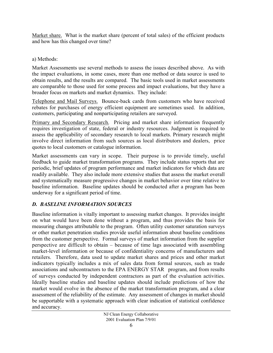<span id="page-7-0"></span>Market share. What is the market share (percent of total sales) of the efficient products and how has this changed over time?

#### a) Methods:

Market Assessments use several methods to assess the issues described above. As with the impact evaluations, in some cases, more than one method or data source is used to obtain results, and the results are compared. The basic tools used in market assessments are comparable to those used for some process and impact evaluations, but they have a broader focus on markets and market dynamics. They include:

Telephone and Mail Surveys. Bounce-back cards from customers who have received rebates for purchases of energy efficient equipment are sometimes used. In addition, customers, participating and nonparticipating retailers are surveyed.

Primary and Secondary Research. Pricing and market share information frequently requires investigation of state, federal or industry resources. Judgment is required to assess the applicability of secondary research to local markets. Primary research might involve direct information from such sources as local distributors and dealers, price quotes to local customers or catalogue information.

Market assessments can vary in scope. Their purpose is to provide timely, useful feedback to guide market transformation programs. They include status reports that are periodic, brief updates of program performance and market indicators for which data are readily available. They also include more extensive studies that assess the market overall and systematically measure progressive changes in market behavior over time relative to baseline information. Baseline updates should be conducted after a program has been underway for a significant period of time.

## *D. BASELINE INFORMATION SOURCES*

Baseline information is vitally important to assessing market changes. It provides insight on what would have been done without a program, and thus provides the basis for measuring changes attributable to the program. Often utility customer saturation surveys or other market penetration studies provide useful information about baseline conditions from the customer perspective. Formal surveys of market information from the supplier perspective are difficult to obtain – because of time lags associated with assembling market-level information or because of confidentiality concerns of manufacturers and retailers. Therefore, data used to update market shares and prices and other market indicators typically includes a mix of sales data from formal sources, such as trade associations and subcontractors to the EPA ENERGY STAR<sup>®</sup> program, and from results of surveys conducted by independent contractors as part of the evaluation activities. Ideally baseline studies and baseline updates should include predictions of how the market would evolve in the absence of the market transformation program, and a clear assessment of the reliability of the estimate. Any assessment of changes in market should be supportable with a systematic approach with clear indication of statistical confidence and accuracy.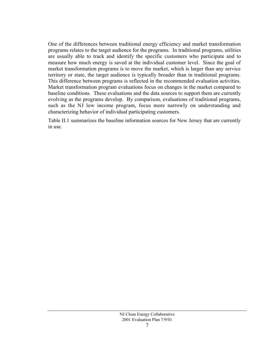One of the differences between traditional energy efficiency and market transformation programs relates to the target audience for the programs. In traditional programs, utilities are usually able to track and identify the specific customers who participate and to measure how much energy is saved at the individual customer level. Since the goal of market transformation programs is to move the market, which is larger than any service territory or state, the target audience is typically broader than in traditional programs. This difference between programs is reflected in the recommended evaluation activities. Market transformation program evaluations focus on changes in the market compared to baseline conditions. These evaluations and the data sources to support them are currently evolving as the programs develop. By comparison, evaluations of traditional programs, such as the NJ low income program, focus more narrowly on understanding and characterizing behavior of individual participating customers.

Table II.1 summarizes the baseline information sources for New Jersey that are currently in use.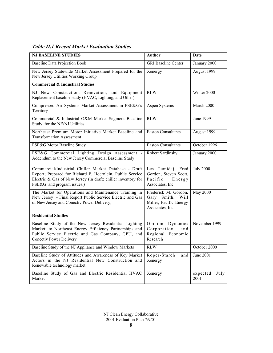#### *Table II.1 Recent Market Evaluation Studies*

| <b>NJ BASELINE STUDIES</b>                                                                                                                                                                                        | Author                                                                                 | <b>Date</b>              |
|-------------------------------------------------------------------------------------------------------------------------------------------------------------------------------------------------------------------|----------------------------------------------------------------------------------------|--------------------------|
| <b>Baseline Data Projection Book</b>                                                                                                                                                                              | <b>GRI Baseline Center</b>                                                             | January 2000             |
| New Jersey Statewide Market Assessment Prepared for the<br>New Jersey Utilities Working Group                                                                                                                     | Xenergy                                                                                | August 1999              |
| <b>Commercial &amp; Industrial Studies</b>                                                                                                                                                                        |                                                                                        |                          |
| NJ New Construction, Renovation, and Equipment<br>Replacement baseline study (HVAC, Lighting, and Other)                                                                                                          | <b>RLW</b>                                                                             | Winter 2000              |
| Compressed Air Systems Market Assessment in PSE&G's<br>Territory                                                                                                                                                  | Aspen Systems                                                                          | March 2000               |
| Commercial & Industrial O&M Market Segment Baseline<br>Study, for the NE/NJ Utilities                                                                                                                             | <b>RLW</b>                                                                             | June 1999                |
| Northeast Premium Motor Initiative Market Baseline and<br><b>Transformation Assessment</b>                                                                                                                        | <b>Easton Consultants</b>                                                              | August 1999              |
| PSE&G Motor Baseline Study                                                                                                                                                                                        | <b>Easton Consultants</b>                                                              | October 1996             |
| PSE&G Commercial Lighting Design Assessment -<br>Addendum to the New Jersey Commercial Baseline Study                                                                                                             | Robert Sardinsky                                                                       | January 2000.            |
| Commercial/Industrial Chiller Market Database - Draft<br>Report; Prepared for Richard F. Hoernlein, Public Service<br>Electric & Gas of New Jersey (in draft: chiller inventory for<br>PSE&G and program issues.) | Les Tumidaj, Fred<br>Gordon, Steven Scott,<br>Pacific<br>Energy<br>Associates, Inc.    | <b>July 2000</b>         |
| The Market for Operations and Maintenance Training in<br>New Jersey - Final Report Public Service Electric and Gas<br>of New Jersey and Conectiv Power Delivery;                                                  | Frederick M. Gordon,<br>Gary Smith, Will<br>Miller, Pacific Energy<br>Associates, Inc. | <b>May 2000</b>          |
| <b>Residential Studies</b>                                                                                                                                                                                        |                                                                                        |                          |
| Baseline Study of the New Jersey Residential Lighting<br>Market; to Northeast Energy Efficiency Partnerships and<br>Public Service Electric and Gas Company, GPU, and<br><b>Conectiv Power Delivery</b>           | Dynamics<br>Opinion<br>Corporation<br>and<br>Regional Economic<br>Research             | November 1999            |
| Baseline Study of the NJ Appliance and Window Markets                                                                                                                                                             | <b>RLW</b>                                                                             | October 2000             |
| Baseline Study of Attitudes and Awareness of Key Market<br>Actors in the NJ Residential New Construction and<br>Renewable technology market                                                                       | Roper-Starch<br>and<br>Xenergy                                                         | June 2001                |
| Baseline Study of Gas and Electric Residential HVAC<br>Market                                                                                                                                                     | Xenergy                                                                                | expected<br>July<br>2001 |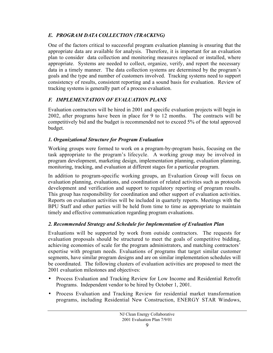# <span id="page-10-0"></span>*E. PROGRAM DATA COLLECTION (TRACKING)*

One of the factors critical to successful program evaluation planning is ensuring that the appropriate data are available for analysis. Therefore, it is important for an evaluation plan to consider data collection and monitoring measures replaced or installed, where appropriate. Systems are needed to collect, organize, verify, and report the necessary data in a timely manner. The data collection systems are determined by the program's goals and the type and number of customers involved. Tracking systems need to support consistency of results, consistent reporting and a sound basis for evaluation. Review of tracking systems is generally part of a process evaluation.

# *F. IMPLEMENTATION OF EVALUATION PLANS*

Evaluation contractors will be hired in 2001 and specific evaluation projects will begin in 2002, after programs have been in place for 9 to 12 months. The contracts will be competitively bid and the budget is recommended not to exceed 5% of the total approved budget.

# *1. Organizational Structure for Program Evaluation*

Working groups were formed to work on a program-by-program basis, focusing on the task appropriate to the program's lifecycle. A working group may be involved in program development, marketing design, implementation planning, evaluation planning, monitoring, tracking, and evaluation at different stages for a particular program.

In addition to program-specific working groups, an Evaluation Group will focus on evaluation planning, evaluations, and coordination of related activities such as protocols development and verification and support to regulatory reporting of program results. This group has responsibility for coordination and other support of evaluation activities. Reports on evaluation activities will be included in quarterly reports. Meetings with the BPU Staff and other parties will be held from time to time as appropriate to maintain timely and effective communication regarding program evaluations.

# *2. Recommended Strategy and Schedule for Implementation of Evaluation Plan*

Evaluations will be supported by work from outside contractors. The requests for evaluation proposals should be structured to meet the goals of competitive bidding, achieving economies of scale for the program administrators, and matching contractors' expertise with program needs. Evaluations of programs that target similar customer segments, have similar program designs and are on similar implementation schedules will be coordinated. The following clusters of evaluation activities are proposed to meet the 2001 evaluation milestones and objectives:

- Process Evaluation and Tracking Review for Low Income and Residential Retrofit Programs. Independent vendor to be hired by October 1, 2001.
- Process Evaluation and Tracking Review for residential market transformation programs, including Residential New Construction, ENERGY STAR Windows,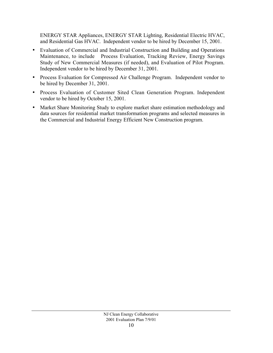ENERGY STAR Appliances, ENERGY STAR Lighting, Residential Electric HVAC, and Residential Gas HVAC. Independent vendor to be hired by December 15, 2001.

- Evaluation of Commercial and Industrial Construction and Building and Operations Maintenance, to include Process Evaluation, Tracking Review, Energy Savings Study of New Commercial Measures (if needed), and Evaluation of Pilot Program. Independent vendor to be hired by December 31, 2001.
- Process Evaluation for Compressed Air Challenge Program. Independent vendor to be hired by December 31, 2001.
- Process Evaluation of Customer Sited Clean Generation Program. Independent vendor to be hired by October 15, 2001.
- Market Share Monitoring Study to explore market share estimation methodology and data sources for residential market transformation programs and selected measures in the Commercial and Industrial Energy Efficient New Construction program.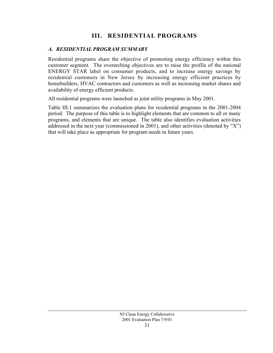# **III. RESIDENTIAL PROGRAMS**

#### <span id="page-12-0"></span>*A. RESIDENTIAL PROGRAM SUMMARY*

Residential programs share the objective of promoting energy efficiency within this customer segment. The overarching objectives are to raise the profile of the national ENERGY STAR label on consumer products, and to increase energy savings by residential customers in New Jersey by increasing energy efficient practices by homebuilders, HVAC contractors and customers as well as increasing market shares and availability of energy efficient products.

All residential programs were launched as joint utility programs in May 2001.

Table III.1 summarizes the evaluation plans for residential programs in the 2001-2004 period. The purpose of this table is to highlight elements that are common to all or many programs, and elements that are unique. The table also identifies evaluation activities addressed in the next year (commissioned in 2001), and other activities (denoted by "X") that will take place as appropriate for program needs in future years.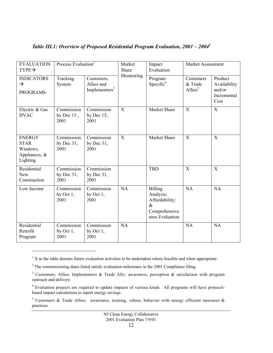| <b>EVALUATION</b><br>$TYPE \rightarrow$                               | Process Evaluation <sup>2</sup>     |                                                       | Market<br>Share | Impact<br>Market Assessment<br>Evaluation                                                 |                                    |                                                          |
|-----------------------------------------------------------------------|-------------------------------------|-------------------------------------------------------|-----------------|-------------------------------------------------------------------------------------------|------------------------------------|----------------------------------------------------------|
| <b>INDICATORS</b><br>$\rightarrow$<br><b>PROGRAMS</b>                 | Tracking<br>System                  | Customers,<br>Allies and<br>Implementers <sup>3</sup> | Monitoring      | Program<br>Specific <sup>4</sup>                                                          | Customers<br>& Trade<br>Allies $5$ | Product<br>Availability<br>and/or<br>Incremental<br>Cost |
| Electric & Gas<br><b>HVAC</b>                                         | Commission<br>by Dec $15$ ,<br>2001 | Commission<br>by Dec $15$ ,<br>2001                   | X               | Market Share                                                                              | $\boldsymbol{\mathrm{X}}$          | $\mathbf X$                                              |
| <b>ENERGY</b><br><b>STAR</b><br>Windows,<br>Appliances, &<br>Lighting | Commission<br>by Dec $31$ ,<br>2001 | Commission<br>by Dec $31$ ,<br>2001                   | X               | <b>Market Share</b>                                                                       | X                                  | X                                                        |
| Residential<br>New<br>Construction                                    | Commission<br>by Dec $31$ ,<br>2001 | Commission<br>by Dec $31$ ,<br>2001                   |                 | <b>TBD</b>                                                                                | $\overline{X}$                     | X                                                        |
| Low Income                                                            | Commission<br>by Oct $1$ ,<br>2001  | Commission<br>by Oct $1$ ,<br>2001                    | NA              | <b>Billing</b><br>Analysis;<br>Affordability;<br>$\&$<br>Comprehensive<br>ness Evaluation | NA                                 | NA                                                       |
| Residential<br>Retrofit<br>Program                                    | Commission<br>by Oct $1$ ,<br>2001  | Commission<br>by Oct $1$ ,<br>2001                    | NA              |                                                                                           | <b>NA</b>                          | NA                                                       |

# *Table III.1: Overview of Proposed Residential Program Evaluation, 2001 – 20041*

 $\overline{a}$ 

 $1 \text{ X}$  in the table denotes future evaluation activities to be undertaken where feasible and when appropriate.

<sup>&</sup>lt;sup>2</sup> The commissioning dates listed satisfy evaluation milestones in the 2001 Compliance filing.

<sup>&</sup>lt;sup>3</sup> Customers, Allies, Implementers & Trade Ally: awareness, perception & satisfaction with program outreach and delivery

 $4$  Evaluation projects are required to update impacts of various kinds. All programs will have protocolbased impact calculations to report energy savings.

<sup>&</sup>lt;sup>5</sup> Customers & Trade Allies: awareness, training, values, behavior with energy efficient measures & practices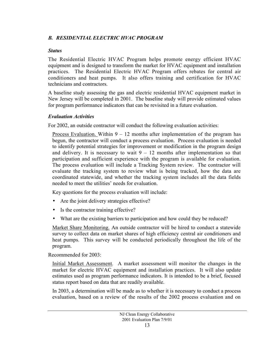#### *B. RESIDENTIAL ELECTRIC HVAC PROGRAM*

#### *Status*

The Residential Electric HVAC Program helps promote energy efficient HVAC equipment and is designed to transform the market for HVAC equipment and installation practices. The Residential Electric HVAC Program offers rebates for central air conditioners and heat pumps. It also offers training and certification for HVAC technicians and contractors.

A baseline study assessing the gas and electric residential HVAC equipment market in New Jersey will be completed in 2001. The baseline study will provide estimated values for program performance indicators that can be revisited in a future evaluation.

#### *Evaluation Activities*

For 2002, an outside contractor will conduct the following evaluation activities:

<u>Process Evaluation.</u> Within  $9 - 12$  months after implementation of the program has begun, the contractor will conduct a process evaluation. Process evaluation is needed to identify potential strategies for improvement or modification in the program design and delivery. It is necessary to wait  $9 - 12$  months after implementation so that participation and sufficient experience with the program is available for evaluation. The process evaluation will include a Tracking System review. The contractor will evaluate the tracking system to review what is being tracked, how the data are coordinated statewide, and whether the tracking system includes all the data fields needed to meet the utilities' needs for evaluation.

Key questions for the process evaluation will include:

- Are the joint delivery strategies effective?
- Is the contractor training effective?
- What are the existing barriers to participation and how could they be reduced?

Market Share Monitoring. An outside contractor will be hired to conduct a statewide survey to collect data on market shares of high efficiency central air conditioners and heat pumps. This survey will be conducted periodically throughout the life of the program.

Recommended for 2003:

Initial Market Assessment. A market assessment will monitor the changes in the market for electric HVAC equipment and installation practices. It will also update estimates used as program performance indicators. It is intended to be a brief, focused status report based on data that are readily available.

In 2003, a determination will be made as to whether it is necessary to conduct a process evaluation, based on a review of the results of the 2002 process evaluation and on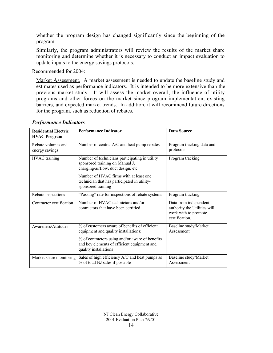whether the program design has changed significantly since the beginning of the program.

Similarly, the program administrators will review the results of the market share monitoring and determine whether it is necessary to conduct an impact evaluation to update inputs to the energy savings protocols.

Recommended for 2004:

Market Assessment. A market assessment is needed to update the baseline study and estimates used as performance indicators. It is intended to be more extensive than the previous market study. It will assess the market overall, the influence of utility programs and other forces on the market since program implementation, existing barriers, and expected market trends. In addition, it will recommend future directions for the program, such as reduction of rebates.

| <b>Residential Electric</b><br><b>HVAC Program</b> | <b>Performance Indicator</b>                                                                                             | <b>Data Source</b>                                                                             |
|----------------------------------------------------|--------------------------------------------------------------------------------------------------------------------------|------------------------------------------------------------------------------------------------|
| Rebate volumes and<br>energy savings               | Number of central A/C and heat pump rebates                                                                              | Program tracking data and<br>protocols                                                         |
| <b>HVAC</b> training                               | Number of technicians participating in utility<br>sponsored training on Manual J,<br>charging/airflow, duct design, etc. | Program tracking.                                                                              |
|                                                    | Number of HVAC firms with at least one<br>technician that has participated in utility-<br>sponsored training             |                                                                                                |
| Rebate inspections                                 | "Passing" rate for inspections of rebate systems                                                                         | Program tracking.                                                                              |
| Contractor certification                           | Number of HVAC technicians and/or<br>contractors that have been certified                                                | Data from independent<br>authority the Utilities will<br>work with to promote<br>certification |
| Awareness/Attitudes                                | % of customers aware of benefits of efficient<br>equipment and quality installations;                                    | Baseline study/Market<br>Assessment                                                            |
|                                                    | % of contractors using and/or aware of benefits<br>and key elements of efficient equipment and<br>quality installations  |                                                                                                |
| Market share monitoring                            | Sales of high efficiency A/C and heat pumps as<br>% of total NJ sales if possible                                        | Baseline study/Market<br>Assessment                                                            |

#### *Performance Indicators*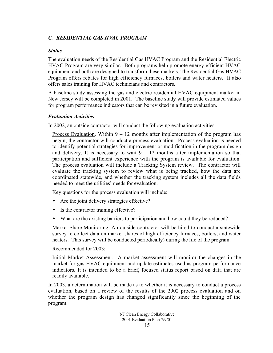#### <span id="page-16-0"></span>*C. RESIDENTIAL GAS HVAC PROGRAM*

#### *Status*

The evaluation needs of the Residential Gas HVAC Program and the Residential Electric HVAC Program are very similar. Both programs help promote energy efficient HVAC equipment and both are designed to transform these markets. The Residential Gas HVAC Program offers rebates for high efficiency furnaces, boilers and water heaters. It also offers sales training for HVAC technicians and contractors.

A baseline study assessing the gas and electric residential HVAC equipment market in New Jersey will be completed in 2001. The baseline study will provide estimated values for program performance indicators that can be revisited in a future evaluation.

#### *Evaluation Activities*

In 2002, an outside contractor will conduct the following evaluation activities:

<u>Process Evaluation</u>. Within  $9 - 12$  months after implementation of the program has begun, the contractor will conduct a process evaluation. Process evaluation is needed to identify potential strategies for improvement or modification in the program design and delivery. It is necessary to wait  $9 - 12$  months after implementation so that participation and sufficient experience with the program is available for evaluation. The process evaluation will include a Tracking System review. The contractor will evaluate the tracking system to review what is being tracked, how the data are coordinated statewide, and whether the tracking system includes all the data fields needed to meet the utilities' needs for evaluation.

Key questions for the process evaluation will include:

- Are the joint delivery strategies effective?
- Is the contractor training effective?
- What are the existing barriers to participation and how could they be reduced?

Market Share Monitoring. An outside contractor will be hired to conduct a statewide survey to collect data on market shares of high efficiency furnaces, boilers, and water heaters. This survey will be conducted periodically) during the life of the program.

Recommended for 2003:

Initial Market Assessment. A market assessment will monitor the changes in the market for gas HVAC equipment and update estimates used as program performance indicators. It is intended to be a brief, focused status report based on data that are readily available.

In 2003, a determination will be made as to whether it is necessary to conduct a process evaluation, based on a review of the results of the 2002 process evaluation and on whether the program design has changed significantly since the beginning of the program.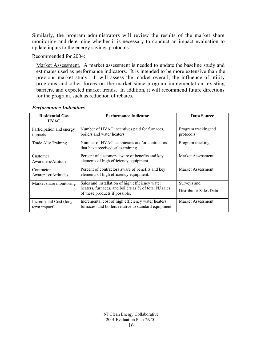<span id="page-17-0"></span>Similarly, the program administrators will review the results of the market share monitoring and determine whether it is necessary to conduct an impact evaluation to update inputs to the energy savings protocols.

Recommended for 2004:

Market Assessment. A market assessment is needed to update the baseline study and estimates used as performance indicators. It is intended to be more extensive than the previous market study. It will assess the market overall, the influence of utility programs and other forces on the market since program implementation, existing barriers, and expected market trends. In addition, it will recommend future directions for the program, such as reduction of rebates.

| <b>Residential Gas</b><br><b>HVAC</b>   | <b>Performance Indicator</b>                                                                                                               | Data Source                           |
|-----------------------------------------|--------------------------------------------------------------------------------------------------------------------------------------------|---------------------------------------|
| Participation and energy<br>impacts     | Number of HVAC incentives paid for furnaces,<br>boilers and water heaters.                                                                 | Program tracking and<br>protocols     |
| Trade Ally Training                     | Number of HVAC technicians and/or contractors<br>that have received sales training.                                                        | Program tracking                      |
| Customer<br>Awareness/Attitudes         | Percent of customers aware of benefits and key<br>elements of high efficiency equipment.                                                   | Market Assessment                     |
| Contractor<br>Awareness/Attitudes       | Percent of contractors aware of benefits and key<br>elements of high efficiency equipment.                                                 | Market Assessment                     |
| Market share monitoring                 | Sales and installation of high efficiency water<br>heaters, furnaces, and boilers as % of total NJ sales<br>of these products if possible. | Surveys and<br>Distributor Sales Data |
| Incremental Cost (long)<br>term impact) | Incremental cost of high efficiency water heaters,<br>furnaces, and boilers relative to standard equipment.                                | Market Assessment                     |

#### *Performance Indicators*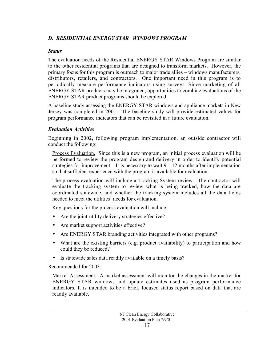#### <span id="page-18-0"></span>*D. RESIDENTIAL ENERGY STAR WINDOWS PROGRAM*

#### *Status*

The evaluation needs of the Residential ENERGY STAR Windows Program are similar to the other residential programs that are designed to transform markets. However, the primary focus for this program is outreach to major trade allies – windows manufacturers, distributors, retailers, and contractors. One important need in this program is to periodically measure performance indicators using surveys. Since marketing of all ENERGY STAR products may be integrated, opportunities to combine evaluations of the ENERGY STAR product programs should be explored.

A baseline study assessing the ENERGY STAR windows and appliance markets in New Jersey was completed in 2001. The baseline study will provide estimated values for program performance indicators that can be revisited in a future evaluation.

#### *Evaluation Activities*

Beginning in 2002, following program implementation, an outside contractor will conduct the following:

Process Evaluation. Since this is a new program, an initial process evaluation will be performed to review the program design and delivery in order to identify potential strategies for improvement. It is necessary to wait  $9 - 12$  months after implementation so that sufficient experience with the program is available for evaluation.

The process evaluation will include a Tracking System review. The contractor will evaluate the tracking system to review what is being tracked, how the data are coordinated statewide, and whether the tracking system includes all the data fields needed to meet the utilities' needs for evaluation.

Key questions for the process evaluation will include:

- Are the joint-utility delivery strategies effective?
- Are market support activities effective?
- Are ENERGY STAR branding activities integrated with other programs?
- What are the existing barriers (e.g. product availability) to participation and how could they be reduced?
- Is statewide sales data readily available on a timely basis?

Recommended for 2003:

Market Assessment. A market assessment will monitor the changes in the market for ENERGY STAR windows and update estimates used as program performance indicators. It is intended to be a brief, focused status report based on data that are readily available.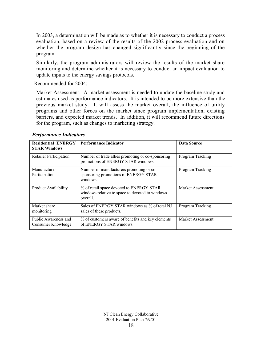In 2003, a determination will be made as to whether it is necessary to conduct a process evaluation, based on a review of the results of the 2002 process evaluation and on whether the program design has changed significantly since the beginning of the program.

Similarly, the program administrators will review the results of the market share monitoring and determine whether it is necessary to conduct an impact evaluation to update inputs to the energy savings protocols.

Recommended for 2004:

Market Assessment. A market assessment is needed to update the baseline study and estimates used as performance indicators. It is intended to be more extensive than the previous market study. It will assess the market overall, the influence of utility programs and other forces on the market since program implementation, existing barriers, and expected market trends. In addition, it will recommend future directions for the program, such as changes to marketing strategy.

| <b>Residential ENERGY</b><br><b>STAR Windows</b> | <b>Performance Indicator</b>                                                                            | Data Source       |
|--------------------------------------------------|---------------------------------------------------------------------------------------------------------|-------------------|
| <b>Retailer Participation</b>                    | Number of trade allies promoting or co-sponsoring<br>promotions of ENERGY STAR windows.                 | Program Tracking  |
| Manufacturer<br>Participation                    | Number of manufacturers promoting or co-<br>sponsoring promotions of ENERGY STAR<br>windows.            | Program Tracking  |
| <b>Product Availability</b>                      | % of retail space devoted to ENERGY STAR<br>windows relative to space to devoted to windows<br>overall. | Market Assessment |
| Market share<br>monitoring                       | Sales of ENERGY STAR windows as % of total NJ<br>sales of these products.                               | Program Tracking  |
| Public Awareness and<br>Consumer Knowledge       | % of customers aware of benefits and key elements<br>of ENERGY STAR windows.                            | Market Assessment |

*Performance Indicators*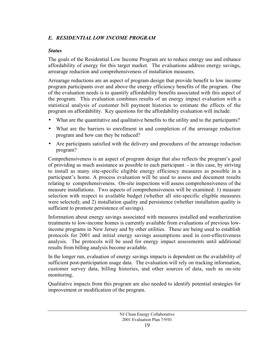#### <span id="page-20-0"></span>*E. RESIDENTIAL LOW INCOME PROGRAM*

#### *Status*

The goals of the Residential Low Income Program are to reduce energy use and enhance affordability of energy for this target market. The evaluations address energy savings, arrearage reduction and comprehensiveness of installation measures.

Arrearage reductions are an aspect of program design that provide benefit to low income program participants over and above the energy efficiency benefits of the program. One of the evaluation needs is to quantify affordability benefits associated with this aspect of the program. This evaluation combines results of an energy impact evaluation with a statistical analysis of customer bill payment histories to estimate the effects of the program on affordability. Key questions for the affordability evaluation will include:

- What are the quantitative and qualitative benefits to the utility and to the participants?
- What are the barriers to enrollment in and completion of the arrearage reduction program and how can they be reduced?
- Are participants satisfied with the delivery and procedures of the arrearage reduction program?

Comprehensiveness is an aspect of program design that also reflects the program's goal of providing as much assistance as possible to each participant - in this case, by striving to install as many site-specific eligible energy efficiency measures as possible in a participant's home. A process evaluation will be used to assess and document results relating to comprehensiveness. On-site inspections will assess comprehensiveness of the measure installations. Two aspects of comprehensiveness will be examined: 1) measure selection with respect to available budget (whether all site-specific eligible measures were selected); and 2) installation quality and persistence (whether installation quality is sufficient to promote persistence of savings).

Information about energy savings associated with measures installed and weatherization treatments to low-income homes is currently available from evaluations of previous lowincome programs in New Jersey and by other utilities. These are being used to establish protocols for 2001 and initial energy savings assumptions used in cost-effectiveness analysis. The protocols will be used for energy impact assessments until additional results from billing analysis become available.

In the longer run, evaluation of energy savings impacts is dependent on the availability of sufficient post-participation usage data. The evaluation will rely on tracking information, customer survey data, billing histories, and other sources of data, such as on-site monitoring.

Qualitative impacts from this program are also needed to identify potential strategies for improvement or modification of the program.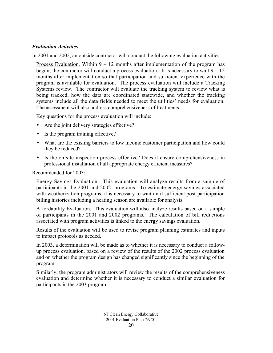#### *Evaluation Activities*

In 2001 and 2002, an outside contractor will conduct the following evaluation activities:

Process Evaluation. Within  $9 - 12$  months after implementation of the program has begun, the contractor will conduct a process evaluation. It is necessary to wait  $9 - 12$ months after implementation so that participation and sufficient experience with the program is available for evaluation. The process evaluation will include a Tracking Systems review. The contractor will evaluate the tracking system to review what is being tracked, how the data are coordinated statewide, and whether the tracking systems include all the data fields needed to meet the utilities' needs for evaluation. The assessment will also address comprehensiveness of treatments.

Key questions for the process evaluation will include:

- Are the joint delivery strategies effective?
- Is the program training effective?
- What are the existing barriers to low income customer participation and how could they be reduced?
- Is the on-site inspection process effective? Does it ensure comprehensiveness in professional installation of all appropriate energy efficient measures?

Recommended for 2003:

Energy Savings Evaluation. This evaluation will analyze results from a sample of participants in the 2001 and 2002 programs. To estimate energy savings associated with weatherization programs, it is necessary to wait until sufficient post-participation billing histories including a heating season are available for analysis.

Affordability Evaluation. This evaluation will also analyze results based on a sample of participants in the 2001 and 2002 programs. The calculation of bill reductions associated with program activities is linked to the energy savings evaluation.

Results of the evaluation will be used to revise program planning estimates and inputs to impact protocols as needed.

In 2003, a determination will be made as to whether it is necessary to conduct a followup process evaluation, based on a review of the results of the 2002 process evaluation and on whether the program design has changed significantly since the beginning of the program.

Similarly, the program administrators will review the results of the comprehensiveness evaluation and determine whether it is necessary to conduct a similar evaluation for participants in the 2003 program.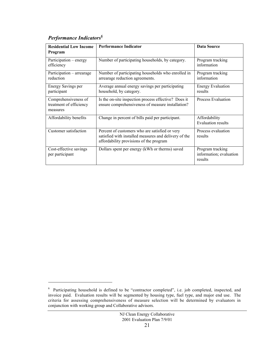# *Performance Indicators6*

 $\overline{a}$ 

| <b>Residential Low Income</b><br>Program                    | <b>Performance Indicator</b>                                                                                                                       | <b>Data Source</b>                                     |
|-------------------------------------------------------------|----------------------------------------------------------------------------------------------------------------------------------------------------|--------------------------------------------------------|
| Participation – energy<br>efficiency                        | Number of participating households, by category.                                                                                                   | Program tracking<br>information                        |
| Participation – arrearage<br>reduction                      | Number of participating households who enrolled in<br>arrearage reduction agreements.                                                              | Program tracking<br>information                        |
| Energy Savings per<br>participant                           | Average annual energy savings per participating<br>household, by category.                                                                         | <b>Energy Evaluation</b><br>results                    |
| Comprehensiveness of<br>treatment of efficiency<br>measures | Is the on-site inspection process effective? Does it<br>ensure comprehensiveness of measure installation?                                          | <b>Process Evaluation</b>                              |
| Affordability benefits                                      | Change in percent of bills paid per participant.                                                                                                   | Affordability<br><b>Evaluation results</b>             |
| Customer satisfaction                                       | Percent of customers who are satisfied or very<br>satisfied with installed measures and delivery of the<br>affordability provisions of the program | Process evaluation<br>results                          |
| Cost-effective savings<br>per participant                   | Dollars spent per energy (kWh or therms) saved                                                                                                     | Program tracking<br>information; evaluation<br>results |

 $6$  Participating household is defined to be "contractor completed", i.e. job completed, inspected, and invoice paid. Evaluation results will be segmented by housing type, fuel type, and major end use. The criteria for assessing comprehensiveness of measure selection will be determined by evaluators in conjunction with working group and Collaborative advisors.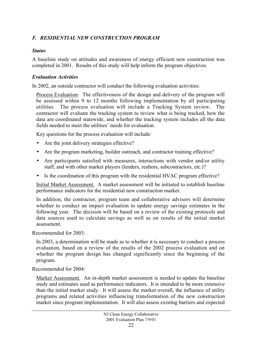#### <span id="page-23-0"></span>*F. RESIDENTIAL NEW CONSTRUCTION PROGRAM*

#### *Status*

A baseline study on attitudes and awareness of energy efficient new construction was completed in 2001. Results of this study will help inform the program objectives.

#### *Evaluation Activities*

In 2002, an outside contractor will conduct the following evaluation activities:

Process Evaluation. The effectiveness of the design and delivery of the program will be assessed within 9 to 12 months following implementation by all participating utilities. The process evaluation will include a Tracking System review. The contractor will evaluate the tracking system to review what is being tracked, how the data are coordinated statewide, and whether the tracking system includes all the data fields needed to meet the utilities' needs for evaluation.

Key questions for the process evaluation will include:

- Are the joint delivery strategies effective?
- Are the program marketing, builder outreach, and contractor training effective?
- Are participants satisfied with measures, interactions with vendor and/or utility staff, and with other market players (lenders, realtors, subcontractors, etc.)?
- Is the coordination of this program with the residential HVAC program effective?

Initial Market Assessment. A market assessment will be initiated to establish baseline performance indicators for the residential new construction market.

In addition, the contractor, program team and collaborative advisors will determine whether to conduct an impact evaluation to update energy savings estimates in the following year. The decision will be based on a review of the existing protocols and data sources used to calculate savings as well as on results of the initial market assessment.

Recommended for 2003:

In 2003, a determination will be made as to whether it is necessary to conduct a process evaluation, based on a review of the results of the 2002 process evaluation and on whether the program design has changed significantly since the beginning of the program.

Recommended for 2004:

Market Assessment. An in-depth market assessment is needed to update the baseline study and estimates used as performance indicators. It is intended to be more extensive than the initial market study. It will assess the market overall, the influence of utility programs and related activities influencing transformation of the new construction market since program implementation. It will also assess existing barriers and expected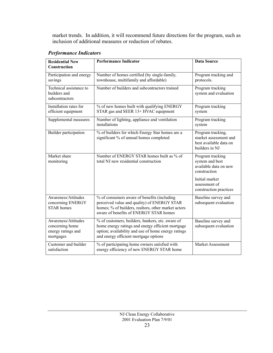market trends. In addition, it will recommend future directions for the program, such as inclusion of additional measures or reduction of rebates.

| <b>Residential New</b>                                                    | <b>Performance Indicator</b>                                                                                                                                                                          | <b>Data Source</b>                                                                     |
|---------------------------------------------------------------------------|-------------------------------------------------------------------------------------------------------------------------------------------------------------------------------------------------------|----------------------------------------------------------------------------------------|
| <b>Construction</b>                                                       |                                                                                                                                                                                                       |                                                                                        |
| Participation and energy<br>savings                                       | Number of homes certified (by single-family,<br>townhouse, multifamily and affordable)                                                                                                                | Program tracking and<br>protocols.                                                     |
| Technical assistance to<br>builders and<br>subcontractors                 | Number of builders and subcontractors trained                                                                                                                                                         | Program tracking<br>system and evaluation                                              |
| Installation rates for<br>efficient equipment                             | % of new homes built with qualifying ENERGY<br>STAR gas and SEER 13+ HVAC equipment                                                                                                                   | Program tracking<br>system                                                             |
| Supplemental measures                                                     | Number of lighting, appliance and ventilation<br>installations                                                                                                                                        | Program tracking<br>system                                                             |
| Builder participation                                                     | % of builders for which Energy Star homes are a<br>significant % of annual homes completed                                                                                                            | Program tracking,<br>market assessment and<br>best available data on<br>builders in NJ |
| Market share<br>monitoring                                                | Number of ENERGY STAR homes built as % of<br>total NJ new residential construction                                                                                                                    | Program tracking<br>system and best<br>available data on new<br>construction           |
|                                                                           |                                                                                                                                                                                                       | Initial market<br>assessment of<br>construction practices                              |
| Awareness/Attitudes<br>concerning ENERGY<br><b>STAR</b> homes             | % of consumers aware of benefits (including<br>perceived value and quality) of ENERGY STAR<br>homes; % of builders, realtors, other market actors<br>aware of benefits of ENERGY STAR homes           | Baseline survey and<br>subsequent evaluation                                           |
| Awareness/Attitudes<br>concerning home<br>energy ratings and<br>mortgages | % of customers, builders, bankers, etc. aware of<br>home energy ratings and energy efficient mortgage<br>option; availability and use of home energy ratings<br>and energy efficient mortgage options | Baseline survey and<br>subsequent evaluation                                           |
| Customer and builder<br>satisfaction                                      | % of participating home owners satisfied with<br>energy efficiency of new ENERGY STAR home                                                                                                            | <b>Market Assessment</b>                                                               |

#### *Performance Indicators*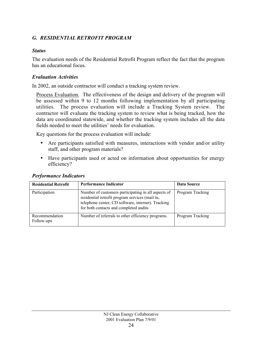#### <span id="page-25-0"></span>*G. RESIDENTIAL RETROFIT PROGRAM*

#### *Status*

The evaluation needs of the Residential Retrofit Program reflect the fact that the program has an educational focus.

#### *Evaluation Activities*

In 2002, an outside contractor will conduct a tracking system review.

Process Evaluation. The effectiveness of the design and delivery of the program will be assessed within 9 to 12 months following implementation by all participating utilities. The process evaluation will include a Tracking System review. The contractor will evaluate the tracking system to review what is being tracked, how the data are coordinated statewide, and whether the tracking system includes all the data fields needed to meet the utilities' needs for evaluation.

Key questions for the process evaluation will include:

- Are participants satisfied with measures, interactions with vendor and/or utility staff, and other program materials?
- Have participants used or acted on information about opportunities for energy efficiency?

| <b>Residential Retrofit</b>  | <b>Performance Indicator</b>                                                                                                                                                                           | Data Source      |
|------------------------------|--------------------------------------------------------------------------------------------------------------------------------------------------------------------------------------------------------|------------------|
| Participation                | Number of customers participating in all aspects of<br>residential retrofit program services (mail in,<br>telephone center, CD software, internet). Tracking<br>for both contacts and completed audits | Program Tracking |
| Recommendation<br>Follow-ups | Number of referrals to other efficiency programs.                                                                                                                                                      | Program Tracking |

#### *Performance Indicators*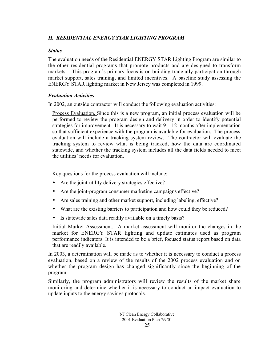#### <span id="page-26-0"></span>*H. RESIDENTIAL ENERGY STAR LIGHTING PROGRAM*

#### *Status*

The evaluation needs of the Residential ENERGY STAR Lighting Program are similar to the other residential programs that promote products and are designed to transform markets. This program's primary focus is on building trade ally participation through market support, sales training, and limited incentives. A baseline study assessing the ENERGY STAR lighting market in New Jersey was completed in 1999.

#### *Evaluation Activities*

In 2002, an outside contractor will conduct the following evaluation activities:

Process Evaluation. Since this is a new program, an initial process evaluation will be performed to review the program design and delivery in order to identify potential strategies for improvement. It is necessary to wait  $9 - 12$  months after implementation so that sufficient experience with the program is available for evaluation. The process evaluation will include a tracking system review. The contractor will evaluate the tracking system to review what is being tracked, how the data are coordinated statewide, and whether the tracking system includes all the data fields needed to meet the utilities' needs for evaluation.

Key questions for the process evaluation will include:

- Are the joint-utility delivery strategies effective?
- Are the joint-program consumer marketing campaigns effective?
- Are sales training and other market support, including labeling, effective?
- What are the existing barriers to participation and how could they be reduced?
- Is statewide sales data readily available on a timely basis?

Initial Market Assessment. A market assessment will monitor the changes in the market for ENERGY STAR lighting and update estimates used as program performance indicators. It is intended to be a brief, focused status report based on data that are readily available.

In 2003, a determination will be made as to whether it is necessary to conduct a process evaluation, based on a review of the results of the 2002 process evaluation and on whether the program design has changed significantly since the beginning of the program.

Similarly, the program administrators will review the results of the market share monitoring and determine whether it is necessary to conduct an impact evaluation to update inputs to the energy savings protocols.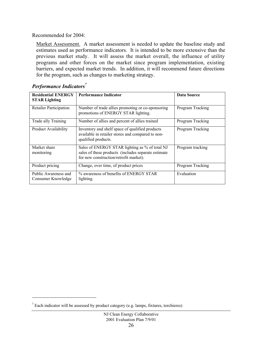Recommended for 2004:

Market Assessment. A market assessment is needed to update the baseline study and estimates used as performance indicators. It is intended to be more extensive than the previous market study. It will assess the market overall, the influence of utility programs and other forces on the market since program implementation, existing barriers, and expected market trends. In addition, it will recommend future directions for the program, such as changes to marketing strategy.

| <b>Residential ENERGY</b><br><b>STAR Lighting</b> | <b>Performance Indicator</b>                                                                                                                    | <b>Data Source</b> |
|---------------------------------------------------|-------------------------------------------------------------------------------------------------------------------------------------------------|--------------------|
| <b>Retailer Participation</b>                     | Number of trade allies promoting or co-sponsoring<br>promotions of ENERGY STAR lighting.                                                        | Program Tracking   |
| Trade ally Training                               | Number of allies and percent of allies trained                                                                                                  | Program Tracking   |
| <b>Product Availability</b>                       | Inventory and shelf space of qualified products<br>available in retailer stores and compared to non-<br>qualified products.                     | Program Tracking   |
| Market share<br>monitoring                        | Sales of ENERGY STAR lighting as % of total NJ<br>sales of these products (includes separate estimate<br>for new construction/retrofit market). | Program tracking   |
| Product pricing                                   | Change, over time, of product prices                                                                                                            | Program Tracking   |
| Public Awareness and<br>Consumer Knowledge        | % awareness of benefits of ENERGY STAR<br>lighting.                                                                                             | Evaluation         |

#### *Performance Indicators<sup>7</sup>*

l.

<sup>&</sup>lt;sup>7</sup> Each indicator will be assessed by product category (e.g. lamps, fixtures, torchieres)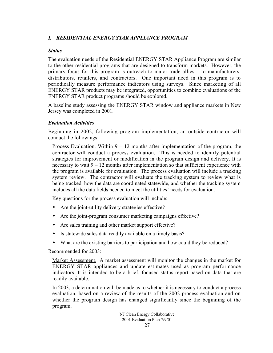#### <span id="page-28-0"></span>*I. RESIDENTIAL ENERGY STAR APPLIANCE PROGRAM*

#### *Status*

The evaluation needs of the Residential ENERGY STAR Appliance Program are similar to the other residential programs that are designed to transform markets. However, the primary focus for this program is outreach to major trade allies – to manufacturers, distributors, retailers, and contractors. One important need in this program is to periodically measure performance indicators using surveys. Since marketing of all ENERGY STAR products may be integrated, opportunities to combine evaluations of the ENERGY STAR product programs should be explored.

A baseline study assessing the ENERGY STAR window and appliance markets in New Jersey was completed in 2001.

#### *Evaluation Activities*

Beginning in 2002, following program implementation, an outside contractor will conduct the followings:

Process Evaluation. Within  $9 - 12$  months after implementation of the program, the contractor will conduct a process evaluation. This is needed to identify potential strategies for improvement or modification in the program design and delivery. It is necessary to wait  $9 - 12$  months after implementation so that sufficient experience with the program is available for evaluation. The process evaluation will include a tracking system review. The contractor will evaluate the tracking system to review what is being tracked, how the data are coordinated statewide, and whether the tracking system includes all the data fields needed to meet the utilities' needs for evaluation.

Key questions for the process evaluation will include:

- Are the joint-utility delivery strategies effective?
- Are the joint-program consumer marketing campaigns effective?
- Are sales training and other market support effective?
- Is statewide sales data readily available on a timely basis?
- What are the existing barriers to participation and how could they be reduced?

Recommended for 2003:

Market Assessment. A market assessment will monitor the changes in the market for ENERGY STAR appliances and update estimates used as program performance indicators. It is intended to be a brief, focused status report based on data that are readily available.

In 2003, a determination will be made as to whether it is necessary to conduct a process evaluation, based on a review of the results of the 2002 process evaluation and on whether the program design has changed significantly since the beginning of the program.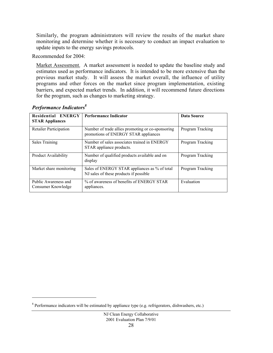Similarly, the program administrators will review the results of the market share monitoring and determine whether it is necessary to conduct an impact evaluation to update inputs to the energy savings protocols.

Recommended for 2004:

Market Assessment. A market assessment is needed to update the baseline study and estimates used as performance indicators. It is intended to be more extensive than the previous market study. It will assess the market overall, the influence of utility programs and other forces on the market since program implementation, existing barriers, and expected market trends. In addition, it will recommend future directions for the program, such as changes to marketing strategy.

| <b>Residential ENERGY</b><br><b>STAR Appliances</b> | <b>Performance Indicator</b><br>Data Source                                               |                  |
|-----------------------------------------------------|-------------------------------------------------------------------------------------------|------------------|
| <b>Retailer Participation</b>                       | Number of trade allies promoting or co-sponsoring<br>promotions of ENERGY STAR appliances | Program Tracking |
| <b>Sales Training</b>                               | Number of sales associates trained in ENERGY<br>STAR appliance products.                  | Program Tracking |
| Product Availability                                | Number of qualified products available and on<br>display                                  | Program Tracking |
| Market share monitoring                             | Sales of ENERGY STAR appliances as % of total<br>NJ sales of these products if possible   | Program Tracking |
| Public Awareness and<br>Consumer Knowledge          | % of awareness of benefits of ENERGY STAR<br>appliances.                                  | Evaluation       |

## *Performance Indicators*<sup>8</sup>

l.

<sup>&</sup>lt;sup>8</sup> Performance indicators will be estimated by appliance type (e.g. refrigerators, dishwashers, etc.)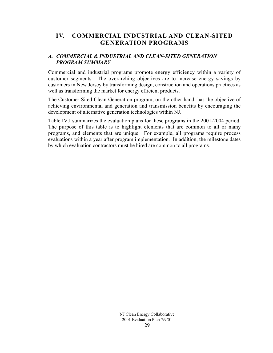#### <span id="page-30-0"></span>**IV. COMMERCIAL INDUSTRIAL AND CLEAN-SITED GENERATION PROGRAMS**

#### *A. COMMERCIAL & INDUSTRIAL AND CLEAN-SITED GENERATION PROGRAM SUMMARY*

Commercial and industrial programs promote energy efficiency within a variety of customer segments. The overarching objectives are to increase energy savings by customers in New Jersey by transforming design, construction and operations practices as well as transforming the market for energy efficient products.

The Customer Sited Clean Generation program, on the other hand, has the objective of achieving environmental and generation and transmission benefits by encouraging the development of alternative generation technologies within NJ.

Table IV.I summarizes the evaluation plans for these programs in the 2001-2004 period. The purpose of this table is to highlight elements that are common to all or many programs, and elements that are unique. For example, all programs require process evaluations within a year after program implementation. In addition, the milestone dates by which evaluation contractors must be hired are common to all programs.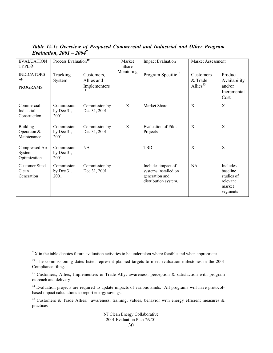| <b>EVALUATION</b><br>$TYPE \rightarrow$               | Process Evaluation <sup>10</sup>    |                                                | Market<br>Share | <b>Impact Evaluation</b>                                                             | Market Assessment                      |                                                                      |
|-------------------------------------------------------|-------------------------------------|------------------------------------------------|-----------------|--------------------------------------------------------------------------------------|----------------------------------------|----------------------------------------------------------------------|
| <b>INDICATORS</b><br>$\rightarrow$<br><b>PROGRAMS</b> | Tracking<br>System                  | Customers,<br>Allies and<br>Implementers<br>11 | Monitoring      | Program Specific <sup>12</sup>                                                       | Customers<br>& Trade<br>Allies $^{13}$ | Product<br>Availability<br>and/or<br>Incremental<br>Cost             |
| Commercial<br>Industrial<br>Construction              | Commission<br>by Dec $31$ ,<br>2001 | Commission by<br>Dec 31, 2001                  | X               | Market Share                                                                         | $X$ :                                  | X                                                                    |
| <b>Building</b><br>Operation &<br>Maintenance         | Commission<br>by Dec $31$ ,<br>2001 | Commission by<br>Dec 31, 2001                  | X               | <b>Evaluation of Pilot</b><br>Projects                                               | X                                      | X                                                                    |
| Compressed Air<br>System<br>Optimization              | Commission<br>by Dec $31$ ,<br>2001 | NA                                             |                 | <b>TBD</b>                                                                           | $\overline{\mathrm{X}}$                | X                                                                    |
| <b>Customer Sited</b><br>Clean<br>Generation          | Commission<br>by Dec $31$ ,<br>2001 | Commission by<br>Dec 31, 2001                  |                 | Includes impact of<br>systems installed on<br>generation and<br>distribution system. | <b>NA</b>                              | Includes<br>baseline<br>studies of<br>relevant<br>market<br>segments |

*Table IV.1: Overview of Proposed Commercial and Industrial and Other Program Evaluation, 2001 – 2004<sup>9</sup>*

 $\overline{a}$ 

 $9^9$  X in the table denotes future evaluation activities to be undertaken where feasible and when appropriate.

<sup>&</sup>lt;sup>10</sup> The commissioning dates listed represent planned targets to meet evaluation milestones in the 2001 Compliance filing.

<sup>&</sup>lt;sup>11</sup> Customers, Allies, Implementers & Trade Ally: awareness, perception & satisfaction with program outreach and delivery

<sup>&</sup>lt;sup>12</sup> Evaluation projects are required to update impacts of various kinds. All programs will have protocolbased impact calculations to report energy savings.

<sup>&</sup>lt;sup>13</sup> Customers & Trade Allies: awareness, training, values, behavior with energy efficient measures & practices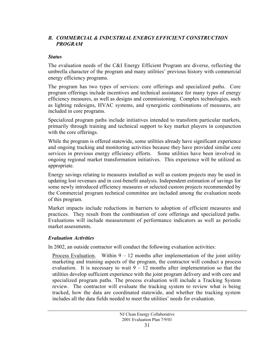#### <span id="page-32-0"></span>*B. COMMERCIAL & INDUSTRIAL ENERGY EFFICIENT CONSTRUCTION PROGRAM*

#### *Status*

The evaluation needs of the C&I Energy Efficient Program are diverse, reflecting the umbrella character of the program and many utilities' previous history with commercial energy efficiency programs.

The program has two types of services: core offerings and specialized paths. Core program offerings include incentives and technical assistance for many types of energy efficiency measures, as well as designs and commissioning. Complex technologies, such as lighting redesigns, HVAC systems, and synergistic combinations of measures, are included in core programs.

Specialized program paths include initiatives intended to transform particular markets, primarily through training and technical support to key market players in conjunction with the core offerings.

While the program is offered statewide, some utilities already have significant experience and ongoing tracking and monitoring activities because they have provided similar core services in previous energy efficiency efforts. Some utilities have been involved in ongoing regional market transformation initiatives. This experience will be utilized as appropriate.

Energy savings relating to measures installed as well as custom projects may be used in updating lost revenues and in cost-benefit analysis. Independent estimation of savings for some newly introduced efficiency measures or selected custom projects recommended by the Commercial program technical committee are included among the evaluation needs of this program.

Market impacts include reductions in barriers to adoption of efficient measures and practices. They result from the combination of core offerings and specialized paths. Evaluations will include measurement of performance indicators as well as periodic market assessments.

#### *Evaluation Activities*

In 2002, an outside contractor will conduct the following evaluation activities:

Process Evaluation. Within  $9 - 12$  months after implementation of the joint utility marketing and training aspects of the program, the contractor will conduct a process evaluation. It is necessary to wait  $9 - 12$  months after implementation so that the utilities develop sufficient experience with the joint program delivery and with core and specialized program paths. The process evaluation will include a Tracking System review. The contractor will evaluate the tracking system to review what is being tracked, how the data are coordinated statewide, and whether the tracking system includes all the data fields needed to meet the utilities' needs for evaluation.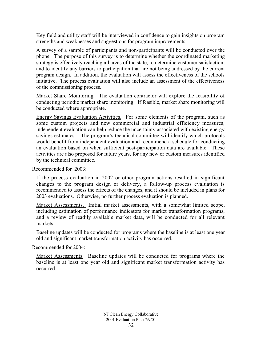Key field and utility staff will be interviewed in confidence to gain insights on program strengths and weaknesses and suggestions for program improvements.

A survey of a sample of participants and non-participants will be conducted over the phone. The purpose of this survey is to determine whether the coordinated marketing strategy is effectively reaching all areas of the state, to determine customer satisfaction, and to identify any barriers to participation that are not being addressed by the current program design. In addition, the evaluation will assess the effectiveness of the schools initiative. The process evaluation will also include an assessment of the effectiveness of the commissioning process.

Market Share Monitoring. The evaluation contractor will explore the feasibility of conducting periodic market share monitoring. If feasible, market share monitoring will be conducted where appropriate.

Energy Savings Evaluation Activities. For some elements of the program, such as some custom projects and new commercial and industrial efficiency measures, independent evaluation can help reduce the uncertainty associated with existing energy savings estimates. The program's technical committee will identify which protocols would benefit from independent evaluation and recommend a schedule for conducting an evaluation based on when sufficient post-participation data are available. These activities are also proposed for future years, for any new or custom measures identified by the technical committee.

Recommended for 2003:

If the process evaluation in 2002 or other program actions resulted in significant changes to the program design or delivery, a follow-up process evaluation is recommended to assess the effects of the changes, and it should be included in plans for 2003 evaluations. Otherwise, no further process evaluation is planned.

Market Assessments. Initial market assessments, with a somewhat limited scope, including estimation of performance indicators for market transformation programs, and a review of readily available market data, will be conducted for all relevant markets.

Baseline updates will be conducted for programs where the baseline is at least one year old and significant market transformation activity has occurred.

Recommended for 2004:

Market Assessments. Baseline updates will be conducted for programs where the baseline is at least one year old and significant market transformation activity has occurred.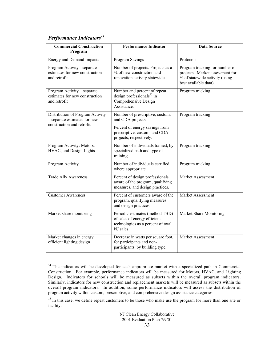# *Performance Indicators14*

 $\overline{a}$ 

| <b>Commercial Construction</b><br>Program                                                     | <b>Performance Indicator</b>                                                                                                                       | <b>Data Source</b>                                                                                                           |
|-----------------------------------------------------------------------------------------------|----------------------------------------------------------------------------------------------------------------------------------------------------|------------------------------------------------------------------------------------------------------------------------------|
| <b>Energy and Demand Impacts</b>                                                              | Program Savings                                                                                                                                    | Protocols                                                                                                                    |
| Program Activity - separate<br>estimates for new construction<br>and retrofit                 | Number of projects. Projects as a<br>% of new construction and<br>renovation activity statewide.                                                   | Program tracking for number of<br>projects. Market assessment for<br>% of statewide activity (using<br>best available data). |
| Program Activity – separate<br>estimates for new construction<br>and retrofit                 | Number and percent of repeat<br>design professionals <sup>15</sup> in<br>Comprehensive Design<br>Assistance.                                       | Program tracking                                                                                                             |
| Distribution of Program Activity<br>- separate estimates for new<br>construction and retrofit | Number of prescriptive, custom,<br>and CDA projects.<br>Percent of energy savings from<br>prescriptive, custom, and CDA<br>projects, respectively. | Program tracking                                                                                                             |
| Program Activity: Motors,<br>HVAC, and Design Lights                                          | Number of individuals trained, by<br>specialized path and type of<br>training.                                                                     | Program tracking                                                                                                             |
| Program Activity                                                                              | Number of individuals certified,<br>where appropriate.                                                                                             | Program tracking                                                                                                             |
| <b>Trade Ally Awareness</b>                                                                   | Percent of design professionals<br>aware of the program, qualifying<br>measures, and design practices.                                             | Market Assessment                                                                                                            |
| <b>Customer Awareness</b>                                                                     | Percent of customers aware of the<br>program, qualifying measures,<br>and design practices.                                                        | Market Assessment                                                                                                            |
| Market share monitoring                                                                       | Periodic estimates (method TBD)<br>of sales of energy efficient<br>technologies as a percent of total<br>NJ sales.                                 | Market Share Monitoring                                                                                                      |
| Market changes in energy<br>efficient lighting design                                         | Decrease in watts per square foot,<br>for participants and non-<br>participants, by building type.                                                 | Market Assessment                                                                                                            |

<sup>&</sup>lt;sup>14</sup> The indicators will be developed for each appropriate market with a specialized path in Commercial Construction. For example, performance indicators will be measured for Motors, HVAC, and Lighting Design. Indicators for schools will be measured as subsets within the overall program indicators. Similarly, indicators for new construction and replacement markets will be measured as subsets within the overall program indicators. In addition, some performance indicators will assess the distribution of program activity within custom, prescriptive, and comprehensive design assistance categories.

<sup>&</sup>lt;sup>15</sup> In this case, we define repeat customers to be those who make use the program for more than one site or facility.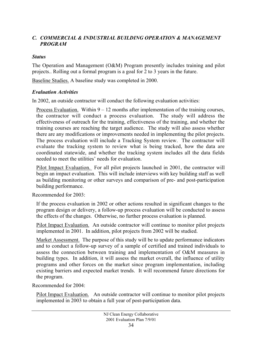#### <span id="page-35-0"></span>*C. COMMERCIAL & INDUSTRIAL BUILDING OPERATION & MANAGEMENT PROGRAM*

#### *Status*

The Operation and Management (O&M) Program presently includes training and pilot projects.. Rolling out a formal program is a goal for 2 to 3 years in the future.

Baseline Studies. A baseline study was completed in 2000.

#### *Evaluation Activities*

In 2002, an outside contractor will conduct the following evaluation activities:

Process Evaluation. Within  $9 - 12$  months after implementation of the training courses, the contractor will conduct a process evaluation. The study will address the effectiveness of outreach for the training, effectiveness of the training, and whether the training courses are reaching the target audience. The study will also assess whether there are any modifications or improvements needed in implementing the pilot projects. The process evaluation will include a Tracking System review. The contractor will evaluate the tracking system to review what is being tracked, how the data are coordinated statewide, and whether the tracking system includes all the data fields needed to meet the utilities' needs for evaluation.

Pilot Impact Evaluation. For all pilot projects launched in 2001, the contractor will begin an impact evaluation. This will include interviews with key building staff as well as building monitoring or other surveys and comparison of pre- and post-participation building performance.

Recommended for 2003:

If the process evaluation in 2002 or other actions resulted in significant changes to the program design or delivery, a follow-up process evaluation will be conducted to assess the effects of the changes. Otherwise, no further process evaluation is planned.

Pilot Impact Evaluation. An outside contractor will continue to monitor pilot projects implemented in 2001. In addition, pilot projects from 2002 will be studied.

Market Assessment. The purpose of this study will be to update performance indicators and to conduct a follow-up survey of a sample of certified and trained individuals to assess the connection between training and implementation of O&M measures in building types. In addition, it will assess the market overall, the influence of utility programs and other forces on the market since program implementation, including existing barriers and expected market trends. It will recommend future directions for the program.

Recommended for 2004:

Pilot Impact Evaluation. An outside contractor will continue to monitor pilot projects implemented in 2003 to obtain a full year of post-participation data.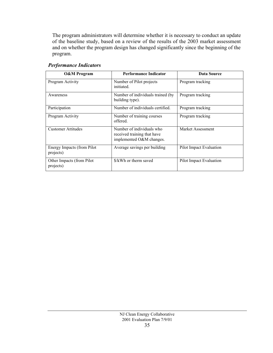The program administrators will determine whether it is necessary to conduct an update of the baseline study, based on a review of the results of the 2003 market assessment and on whether the program design has changed significantly since the beginning of the program.

| <b>O&amp;M</b> Program                  | <b>Performance Indicator</b>                                                         | Data Source             |
|-----------------------------------------|--------------------------------------------------------------------------------------|-------------------------|
| Program Activity                        | Number of Pilot projects<br>initiated.                                               | Program tracking        |
| Awareness                               | Number of individuals trained (by<br>building type).                                 | Program tracking        |
| Participation                           | Number of individuals certified.                                                     | Program tracking        |
| Program Activity                        | Number of training courses<br>offered.                                               | Program tracking        |
| <b>Customer Attitudes</b>               | Number of individuals who<br>received training that have<br>implemented O&M changes. | Market Assessment       |
| Energy Impacts (from Pilot<br>projects) | Average savings per building                                                         | Pilot Impact Evaluation |
| Other Impacts (from Pilot<br>projects)  | \$/kWh or therm saved                                                                | Pilot Impact Evaluation |

#### *Performance Indicators*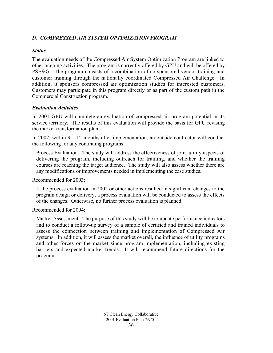#### <span id="page-37-0"></span>*D. COMPRESSED AIR SYSTEM OPTIMIZATION PROGRAM*

#### *Status*

The evaluation needs of the Compressed Air System Optimization Program are linked to other ongoing activities. The program is currently offered by GPU and will be offered by PSE&G. The program consists of a combination of co-sponsored vendor training and customer training through the nationally coordinated Compressed Air Challenge. In addition, it sponsors compressed air optimization studies for interested customers. Customers may participate in this program directly or as part of the custom path in the Commercial Construction program.

#### *Evaluation Activities*

In 2001 GPU will complete an evaluation of compressed air program potential in its service territory. The results of this evaluation will provide the basis for GPU revising the market transformation plan

In 2002, within  $9 - 12$  months after implementation, an outside contractor will conduct the following for any continuing programs:

Process Evaluation. The study will address the effectiveness of joint utility aspects of delivering the program, including outreach for training, and whether the training courses are reaching the target audience. The study will also assess whether there are any modifications or improvements needed in implementing the case studies.

Recommended for 2003:

If the process evaluation in 2002 or other actions resulted in significant changes to the program design or delivery, a process evaluation will be conducted to assess the effects of the changes. Otherwise, no further process evaluation is planned.

Recommended for 2004:

Market Assessment. The purpose of this study will be to update performance indicators and to conduct a follow-up survey of a sample of certified and trained individuals to assess the connection between training and implementation of Compressed Air systems. In addition, it will assess the market overall, the influence of utility programs and other forces on the market since program implementation, including existing barriers and expected market trends. It will recommend future directions for the program.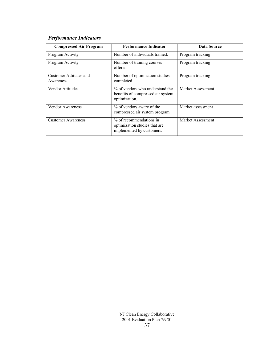# *Performance Indicators*

| <b>Compressed Air Program</b>       | <b>Performance Indicator</b>                                                          | Data Source       |
|-------------------------------------|---------------------------------------------------------------------------------------|-------------------|
| Program Activity                    | Number of individuals trained.                                                        | Program tracking  |
| Program Activity                    | Number of training courses<br>offered.                                                | Program tracking  |
| Customer Attitudes and<br>Awareness | Number of optimization studies<br>completed.                                          | Program tracking  |
| Vendor Attitudes                    | % of vendors who understand the<br>benefits of compressed air system<br>optimization. | Market Assessment |
| Vendor Awareness                    | % of vendors aware of the<br>compressed air system program                            | Market assessment |
| <b>Customer Awareness</b>           | % of recommendations in<br>optimization studies that are<br>implemented by customers. | Market Assessment |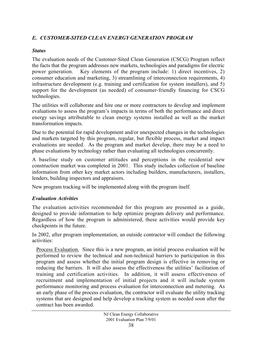#### <span id="page-39-0"></span>*E. CUSTOMER-SITED CLEAN ENERGY GENERATION PROGRAM*

#### *Status*

The evaluation needs of the Customer-Sited Clean Generation (CSCG) Program reflect the facts that the program addresses new markets, technologies and paradigms for electric power generation. Key elements of the program include: 1) direct incentives, 2) consumer education and marketing, 3) streamlining of interconnection requirements, 4) infrastructure development (e.g. training and certification for system installers), and 5) support for the development (as needed) of consumer-friendly financing for CSCG technologies.

The utilities will collaborate and hire one or more contractors to develop and implement evaluations to assess the program's impacts in terms of both the performance and direct energy savings attributable to clean energy systems installed as well as the market transformation impacts.

Due to the potential for rapid development and/or unexpected changes in the technologies and markets targeted by this program, regular, but flexible process, market and impact evaluations are needed. As the program and market develop, there may be a need to phase evaluations by technology rather than evaluating all technologies concurrently.

A baseline study on customer attitudes and perceptions in the residential new construction market was completed in 2001. This study includes collection of baseline information from other key market actors including builders, manufacturers, installers, lenders, building inspectors and appraisers.

New program tracking will be implemented along with the program itself.

## *Evaluation Activities*

The evaluation activities recommended for this program are presented as a guide, designed to provide information to help optimize program delivery and performance. Regardless of how the program is administered, these activities would provide key checkpoints in the future.

In 2002, after program implementation, an outside contractor will conduct the following activities:

Process Evaluation. Since this is a new program, an initial process evaluation will be performed to review the technical and non-technical barriers to participation in this program and assess whether the initial program design is effective in removing or reducing the barriers. It will also assess the effectiveness the utilities' facilitation of training and certification activities. In addition, it will assess effectiveness of recruitment and implementation of initial projects and it will include system performance monitoring and process evaluation for interconnection and metering. As an early phase of the process evaluation, the contractor will evaluate the utility tracking systems that are designed and help develop a tracking system as needed soon after the contract has been awarded.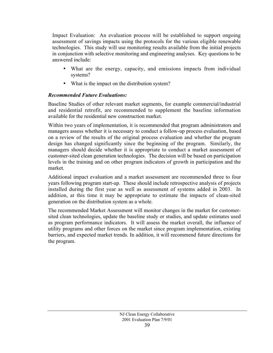Impact Evaluation: An evaluation process will be established to support ongoing assessment of savings impacts using the protocols for the various eligible renewable technologies. This study will use monitoring results available from the initial projects in conjunction with selective monitoring and engineering analyses. Key questions to be answered include:

- What are the energy, capacity, and emissions impacts from individual systems?
- What is the impact on the distribution system?

#### *Recommended Future Evaluations:*

Baseline Studies of other relevant market segments, for example commercial/industrial and residential retrofit, are recommended to supplement the baseline information available for the residential new construction market.

Within two years of implementation, it is recommended that program administrators and managers assess whether it is necessary to conduct a follow-up process evaluation, based on a review of the results of the original process evaluation and whether the program design has changed significantly since the beginning of the program. Similarly, the managers should decide whether it is appropriate to conduct a market assessment of customer-sited clean generation technologies. The decision will be based on participation levels in the training and on other program indicators of growth in participation and the market.

Additional impact evaluation and a market assessment are recommended three to four years following program start-up. These should include retrospective analysis of projects installed during the first year as well as assessment of systems added in 2003. In addition, at this time it may be appropriate to estimate the impacts of clean-sited generation on the distribution system as a whole.

The recommended Market Assessment will monitor changes in the market for customersited clean technologies, update the baseline study or studies, and update estimates used as program performance indicators. It will assess the market overall, the influence of utility programs and other forces on the market since program implementation, existing barriers, and expected market trends. In addition, it will recommend future directions for the program.